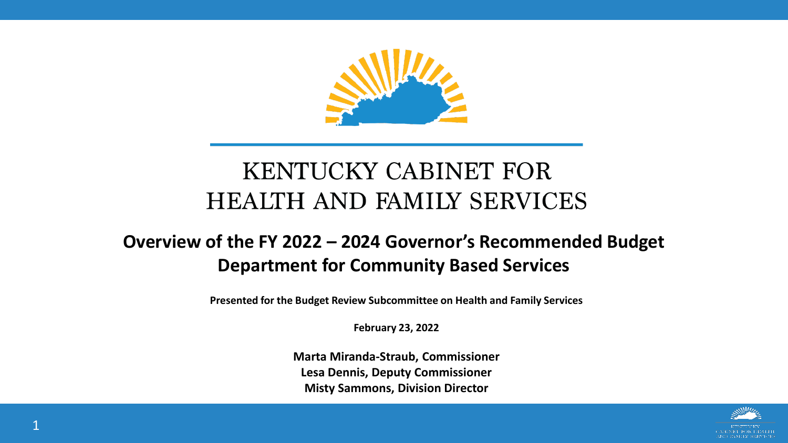

#### **KENTUCKY CABINET FOR HEALTH AND FAMILY SERVICES**

#### **Overview of the FY 2022 – 2024 Governor's Recommended Budget Department for Community Based Services**

**Presented for the Budget Review Subcommittee on Health and Family Services**

**February 23, 2022**

**Marta Miranda-Straub, Commissioner Lesa Dennis, Deputy Commissioner Misty Sammons, Division Director**

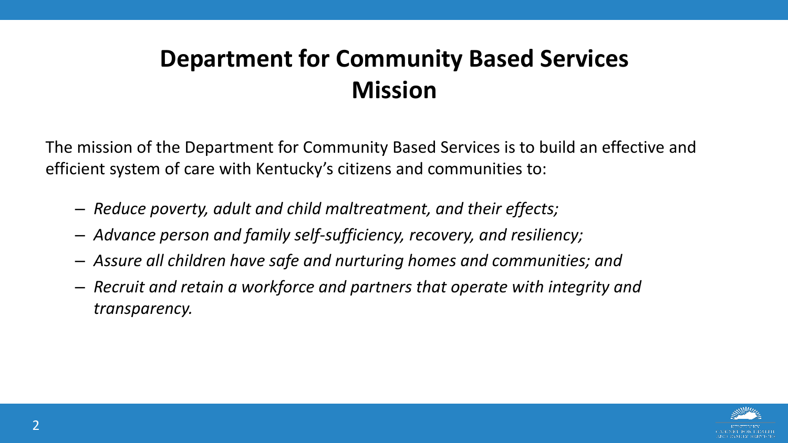#### **Department for Community Based Services Mission**

The mission of the Department for Community Based Services is to build an effective and efficient system of care with Kentucky's citizens and communities to:

- *Reduce poverty, adult and child maltreatment, and their effects;*
- *Advance person and family self-sufficiency, recovery, and resiliency;*
- *Assure all children have safe and nurturing homes and communities; and*
- *Recruit and retain a workforce and partners that operate with integrity and transparency.*

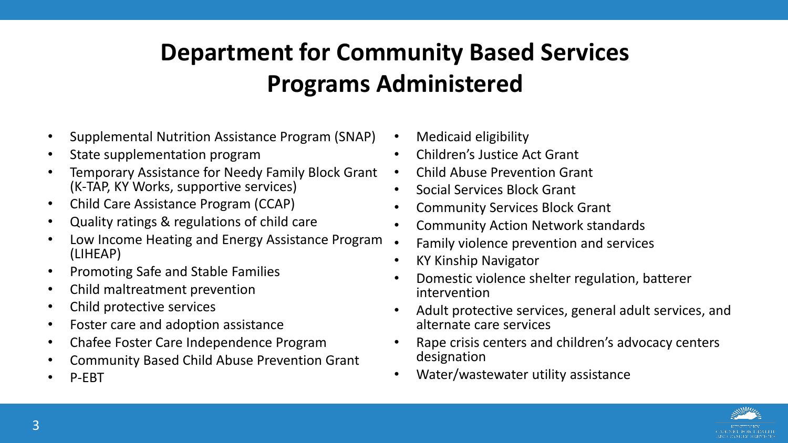# **Department for Community Based Services Programs Administered**

- Supplemental Nutrition Assistance Program (SNAP)
- State supplementation program
- Temporary Assistance for Needy Family Block Grant (K-TAP, KY Works, supportive services)
- Child Care Assistance Program (CCAP)
- Quality ratings & regulations of child care
- Low Income Heating and Energy Assistance Program. (LIHEAP)
- Promoting Safe and Stable Families
- Child maltreatment prevention
- Child protective services
- Foster care and adoption assistance
- Chafee Foster Care Independence Program
- Community Based Child Abuse Prevention Grant
- P-EBT
- Medicaid eligibility
- Children's Justice Act Grant
- Child Abuse Prevention Grant
- Social Services Block Grant
- Community Services Block Grant
- Community Action Network standards
- Family violence prevention and services
- KY Kinship Navigator
- Domestic violence shelter regulation, batterer intervention
- Adult protective services, general adult services, and alternate care services
- Rape crisis centers and children's advocacy centers designation
- Water/wastewater utility assistance

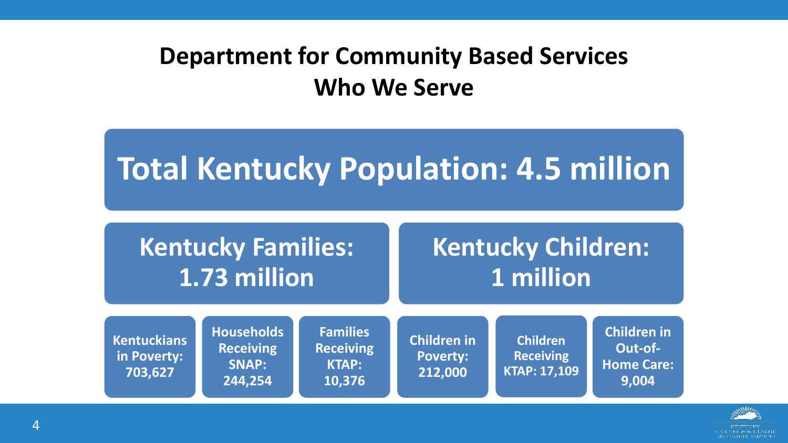#### **Department for Community Based Services Who We Serve**

# **Total Kentucky Population: 4.5 million**

| <b>Kentucky Families:</b>                                                                                                           |                   |                  | <b>Kentucky Children:</b>                                                                                            |                    |                    |
|-------------------------------------------------------------------------------------------------------------------------------------|-------------------|------------------|----------------------------------------------------------------------------------------------------------------------|--------------------|--------------------|
| $\overline{1.73}$ million                                                                                                           |                   |                  | 1 million                                                                                                            |                    |                    |
| <b>Kentuckians</b>                                                                                                                  | <b>Households</b> | <b>Families</b>  | <b>Children in</b>                                                                                                   | <b>Children</b>    | <b>Children in</b> |
| <b><i>Charles Committee Committee Committee Committee Committee Committee Committee Committee Committee Committee Committee</i></b> | <b>Receiving</b>  | <b>Receiving</b> | <b>Production of the contract of the contract of the contract of the contract of the contract of the contract of</b> | <b>Designation</b> | Out-of-            |

**Poverty: 212,000**

**Receiving KTAP: 17,109**

**Home Care:** 

**9,004**

**KTAP:** 

**10,376**

AND FAMILY SERVICES

**in Poverty: 703,627**

**SNAP:** 

**244,254**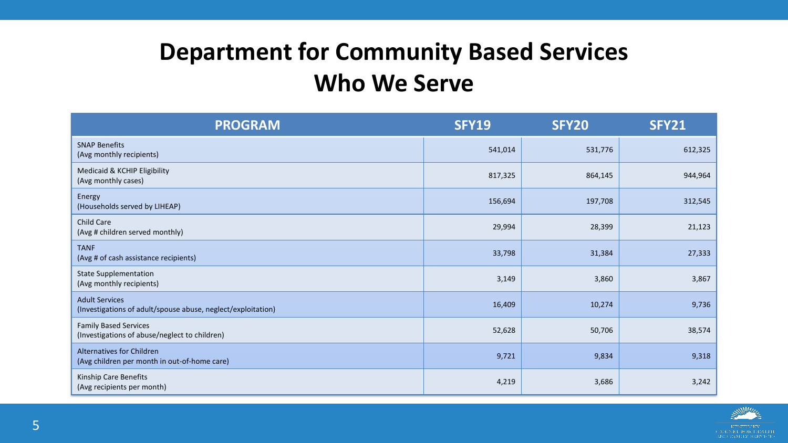#### **Department for Community Based Services Who We Serve**

| <b>PROGRAM</b>                                                                        | <b>SFY19</b> | <b>SFY20</b> | <b>SFY21</b> |
|---------------------------------------------------------------------------------------|--------------|--------------|--------------|
| <b>SNAP Benefits</b><br>(Avg monthly recipients)                                      | 541,014      | 531,776      | 612,325      |
| Medicaid & KCHIP Eligibility<br>(Avg monthly cases)                                   | 817,325      | 864,145      | 944,964      |
| Energy<br>(Households served by LIHEAP)                                               | 156,694      | 197,708      | 312,545      |
| Child Care<br>(Avg # children served monthly)                                         | 29,994       | 28,399       | 21,123       |
| <b>TANF</b><br>(Avg # of cash assistance recipients)                                  | 33,798       | 31,384       | 27,333       |
| <b>State Supplementation</b><br>(Avg monthly recipients)                              | 3,149        | 3,860        | 3,867        |
| <b>Adult Services</b><br>(Investigations of adult/spouse abuse, neglect/exploitation) | 16,409       | 10,274       | 9,736        |
| <b>Family Based Services</b><br>(Investigations of abuse/neglect to children)         | 52,628       | 50,706       | 38,574       |
| Alternatives for Children<br>(Avg children per month in out-of-home care)             | 9,721        | 9,834        | 9,318        |
| Kinship Care Benefits<br>(Avg recipients per month)                                   | 4,219        | 3,686        | 3,242        |

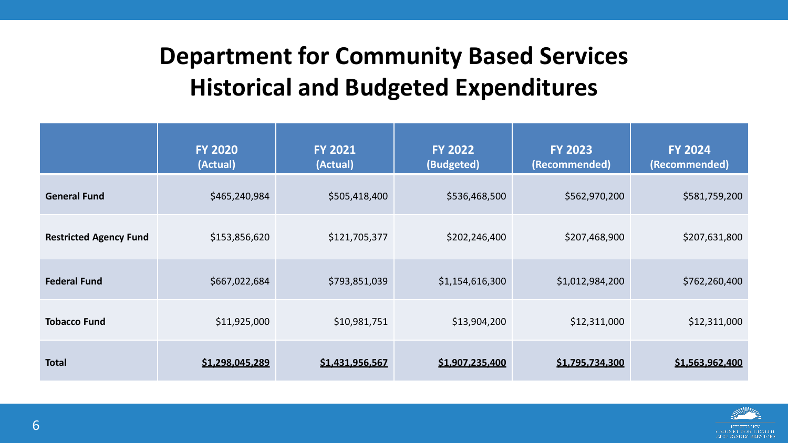### **Department for Community Based Services Historical and Budgeted Expenditures**

|                               | <b>FY 2020</b><br>(Actual) | <b>FY 2021</b><br>(Actual) | <b>FY 2022</b><br>(Budgeted) | <b>FY 2023</b><br>(Recommended) | <b>FY 2024</b><br>(Recommended) |
|-------------------------------|----------------------------|----------------------------|------------------------------|---------------------------------|---------------------------------|
| <b>General Fund</b>           | \$465,240,984              | \$505,418,400              | \$536,468,500                | \$562,970,200                   | \$581,759,200                   |
| <b>Restricted Agency Fund</b> | \$153,856,620              | \$121,705,377              | \$202,246,400                | \$207,468,900                   | \$207,631,800                   |
| <b>Federal Fund</b>           | \$667,022,684              | \$793,851,039              | \$1,154,616,300              | \$1,012,984,200                 | \$762,260,400                   |
| <b>Tobacco Fund</b>           | \$11,925,000               | \$10,981,751               | \$13,904,200                 | \$12,311,000                    | \$12,311,000                    |
| <b>Total</b>                  | \$1,298,045,289            | \$1,431,956,567            | \$1,907,235,400              | \$1,795,734,300                 | \$1,563,962,400                 |

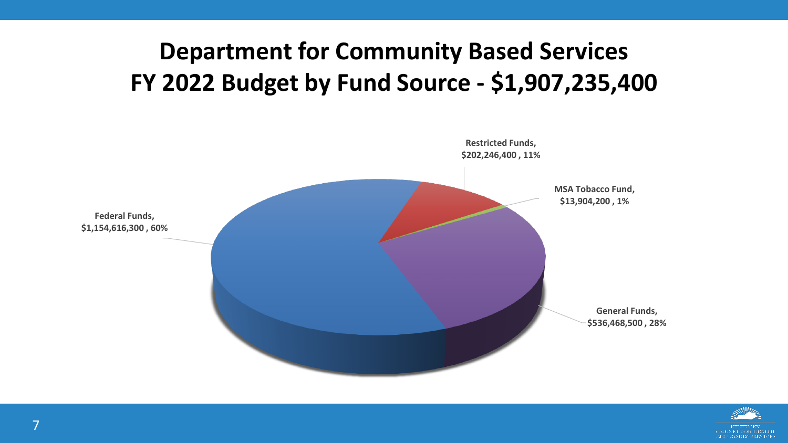#### **Department for Community Based Services FY 2022 Budget by Fund Source - \$1,907,235,400**



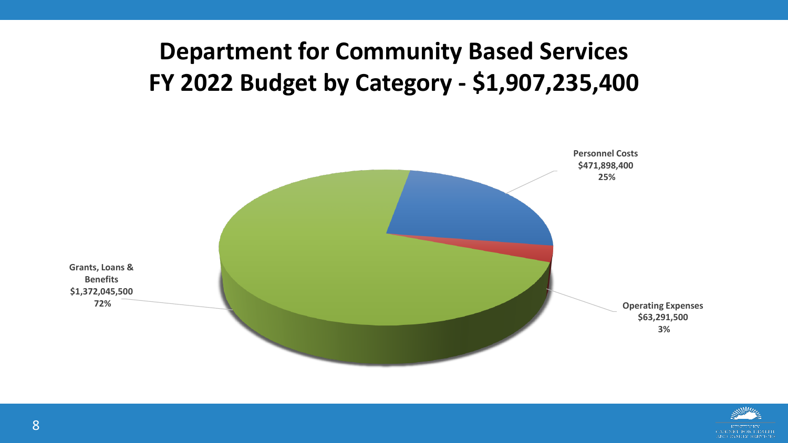#### **Department for Community Based Services FY 2022 Budget by Category - \$1,907,235,400**



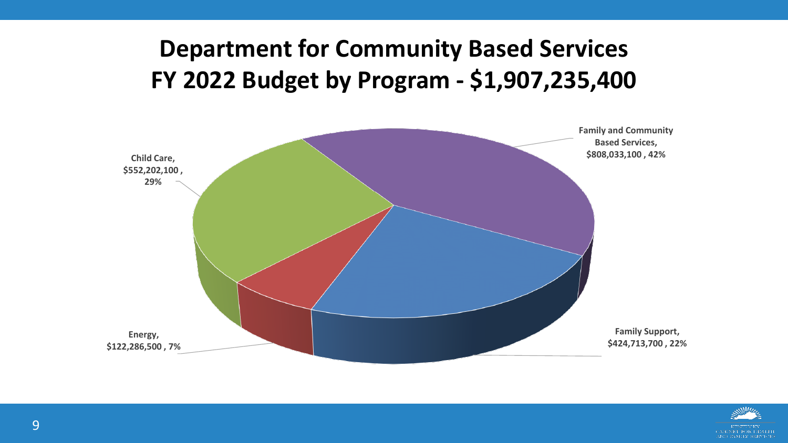#### **Department for Community Based Services FY 2022 Budget by Program - \$1,907,235,400**



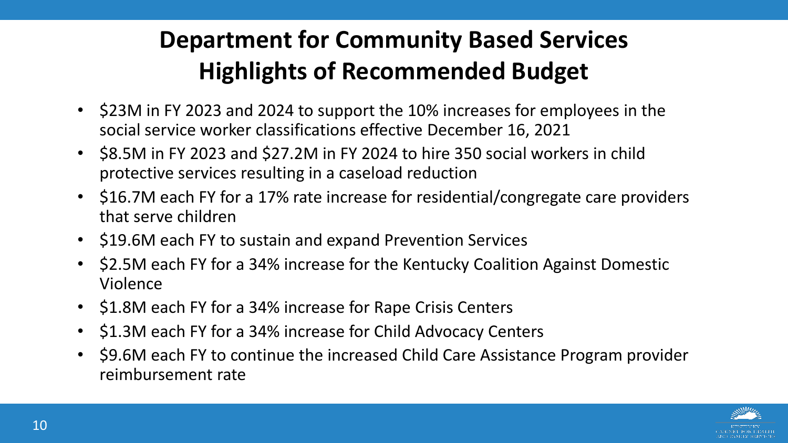# **Department for Community Based Services Highlights of Recommended Budget**

- \$23M in FY 2023 and 2024 to support the 10% increases for employees in the social service worker classifications effective December 16, 2021
- \$8.5M in FY 2023 and \$27.2M in FY 2024 to hire 350 social workers in child protective services resulting in a caseload reduction
- \$16.7M each FY for a 17% rate increase for residential/congregate care providers that serve children
- \$19.6M each FY to sustain and expand Prevention Services
- \$2.5M each FY for a 34% increase for the Kentucky Coalition Against Domestic Violence
- \$1.8M each FY for a 34% increase for Rape Crisis Centers
- \$1.3M each FY for a 34% increase for Child Advocacy Centers
- \$9.6M each FY to continue the increased Child Care Assistance Program provider reimbursement rate

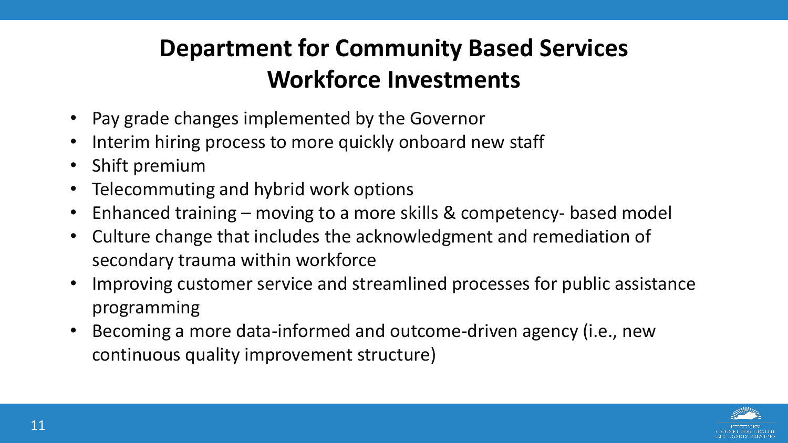# **Department for Community Based Services Workforce Investments**

- Pay grade changes implemented by the Governor
- Interim hiring process to more quickly onboard new staff
- Shift premium
- Telecommuting and hybrid work options
- Enhanced training moving to a more skills & competency- based model
- Culture change that includes the acknowledgment and remediation of secondary trauma within workforce
- Improving customer service and streamlined processes for public assistance programming
- Becoming a more data-informed and outcome-driven agency (i.e., new continuous quality improvement structure)

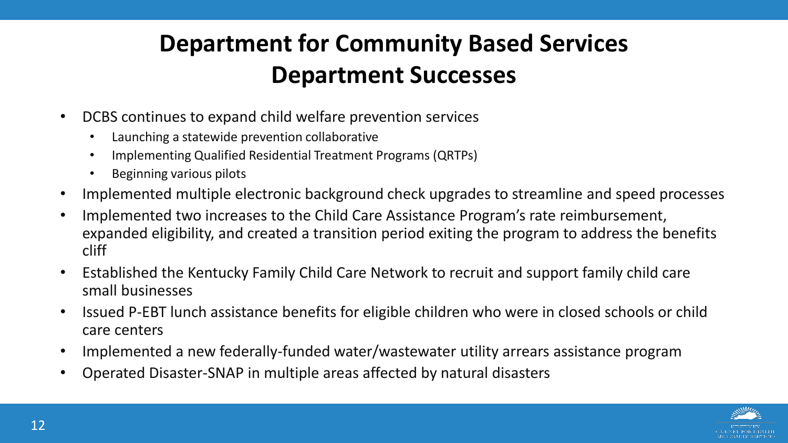### **Department for Community Based Services Department Successes**

- DCBS continues to expand child welfare prevention services
	- Launching a statewide prevention collaborative
	- Implementing Qualified Residential Treatment Programs (QRTPs)
	- Beginning various pilots
- Implemented multiple electronic background check upgrades to streamline and speed processes
- Implemented two increases to the Child Care Assistance Program's rate reimbursement, expanded eligibility, and created a transition period exiting the program to address the benefits cliff
- Established the Kentucky Family Child Care Network to recruit and support family child care small businesses
- Issued P-EBT lunch assistance benefits for eligible children who were in closed schools or child care centers
- Implemented a new federally-funded water/wastewater utility arrears assistance program
- Operated Disaster-SNAP in multiple areas affected by natural disasters